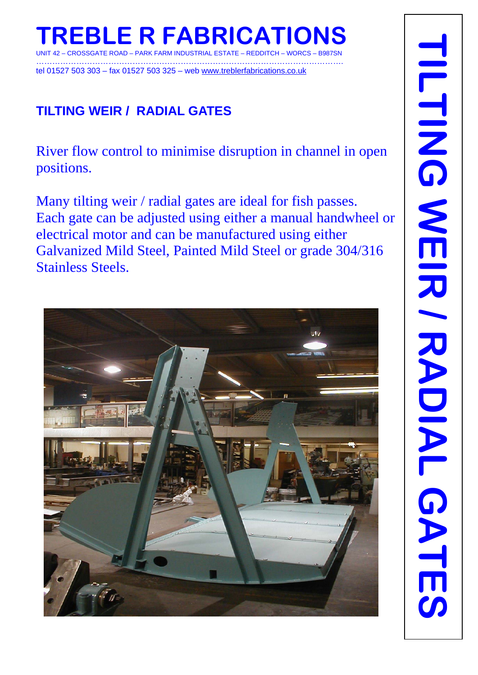……………………………………………………………………………………………………. tel 01527 503 303 – fax 01527 503 325 – web www.treblerfabrications.co.uk

# **TILTING WEIR / RADIAL GATES**

River flow control to minimise disruption in channel in open positions.

Many tilting weir / radial gates are ideal for fish passes. Each gate can be adjusted using either a manual handwheel or electrical motor and can be manufactured using either Galvanized Mild Steel, Painted Mild Steel or grade 304/316 Stainless Steels.

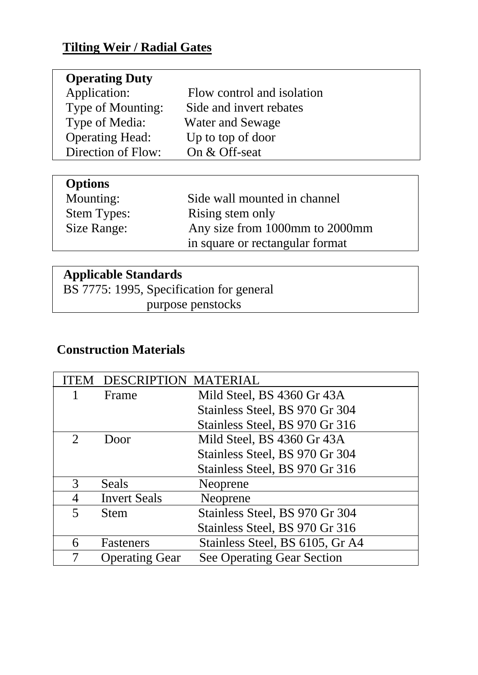#### **Tilting Weir / Radial Gates**

| <b>Operating Duty</b>  |                            |
|------------------------|----------------------------|
| Application:           | Flow control and isolation |
| Type of Mounting:      | Side and invert rebates    |
| Type of Media:         | <b>Water and Sewage</b>    |
| <b>Operating Head:</b> | Up to top of door          |
| Direction of Flow:     | On & Off-seat              |
|                        |                            |

## **Options**

| Mounting:          | Side wall mounted in channel    |
|--------------------|---------------------------------|
| <b>Stem Types:</b> | Rising stem only                |
| Size Range:        | Any size from 1000mm to 2000mm  |
|                    | in square or rectangular format |

### **Applicable Standards**

 BS 7775: 1995, Specification for general purpose penstocks

### **Construction Materials**

| ŤЕ.                   | <b>DESCRIPTION MATERIAL</b> |                                   |
|-----------------------|-----------------------------|-----------------------------------|
|                       | Frame                       | Mild Steel, BS 4360 Gr 43A        |
|                       |                             | Stainless Steel, BS 970 Gr 304    |
|                       |                             | Stainless Steel, BS 970 Gr 316    |
| $\mathcal{D}_{\cdot}$ | Door                        | Mild Steel, BS 4360 Gr 43A        |
|                       |                             | Stainless Steel, BS 970 Gr 304    |
|                       |                             | Stainless Steel, BS 970 Gr 316    |
| 3                     | Seals                       | Neoprene                          |
| 4                     | <b>Invert Seals</b>         | Neoprene                          |
| 5                     | <b>Stem</b>                 | Stainless Steel, BS 970 Gr 304    |
|                       |                             | Stainless Steel, BS 970 Gr 316    |
| 6                     | Fasteners                   | Stainless Steel, BS 6105, Gr A4   |
|                       | <b>Operating Gear</b>       | <b>See Operating Gear Section</b> |